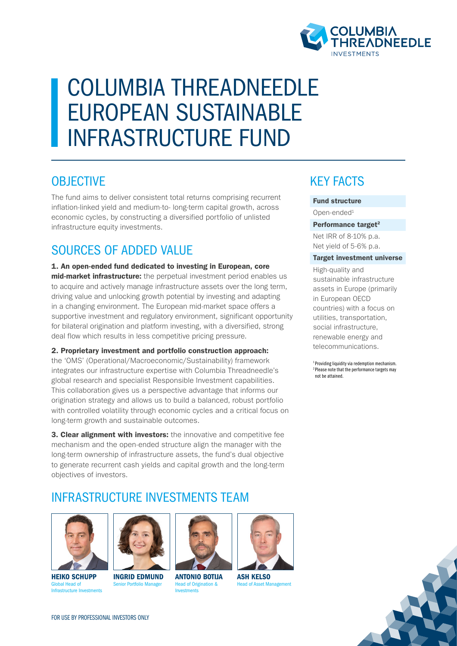

# COLUMBIA THREADNEEDLE EUROPEAN SUSTAINABLE INFRASTRUCTURE FUND

### **OBJECTIVE**

The fund aims to deliver consistent total returns comprising recurrent inflation-linked yield and medium-to- long-term capital growth, across economic cycles, by constructing a diversified portfolio of unlisted infrastructure equity investments.

# SOURCES OF ADDED VALUE

1. An open-ended fund dedicated to investing in European, core mid-market infrastructure: the perpetual investment period enables us to acquire and actively manage infrastructure assets over the long term, driving value and unlocking growth potential by investing and adapting in a changing environment. The European mid-market space offers a supportive investment and regulatory environment, significant opportunity for bilateral origination and platform investing, with a diversified, strong deal flow which results in less competitive pricing pressure.

2. Proprietary investment and portfolio construction approach: the 'OMS' (Operational/Macroeconomic/Sustainability) framework integrates our infrastructure expertise with Columbia Threadneedle's global research and specialist Responsible Investment capabilities. This collaboration gives us a perspective advantage that informs our origination strategy and allows us to build a balanced, robust portfolio with controlled volatility through economic cycles and a critical focus on long-term growth and sustainable outcomes.

**3. Clear alignment with investors:** the innovative and competitive fee mechanism and the open-ended structure align the manager with the long-term ownership of infrastructure assets, the fund's dual objective to generate recurrent cash yields and capital growth and the long-term objectives of investors.

### INFRASTRUCTURE INVESTMENTS TEAM



HEIKO SCHUPP Global Head of Infrastructure Investments



INGRID EDMUND Senior Portfolio Manager ANTONIO BOTIJA Head of Origination & Investments



ASH KELSO Head of Asset Management

# KEY FACTS

#### Fund structure

Open-ended1

#### Performance target<sup>2</sup>

Net IRR of 8-10% p.a. Net yield of 5-6% p.a.

#### Target investment universe

High-quality and sustainable infrastructure assets in Europe (primarily in European OECD countries) with a focus on utilities, transportation, social infrastructure, renewable energy and telecommunications.

1 Providing liquidity via redemption mechanism. 2 Please note that the performance targets may not be attained.